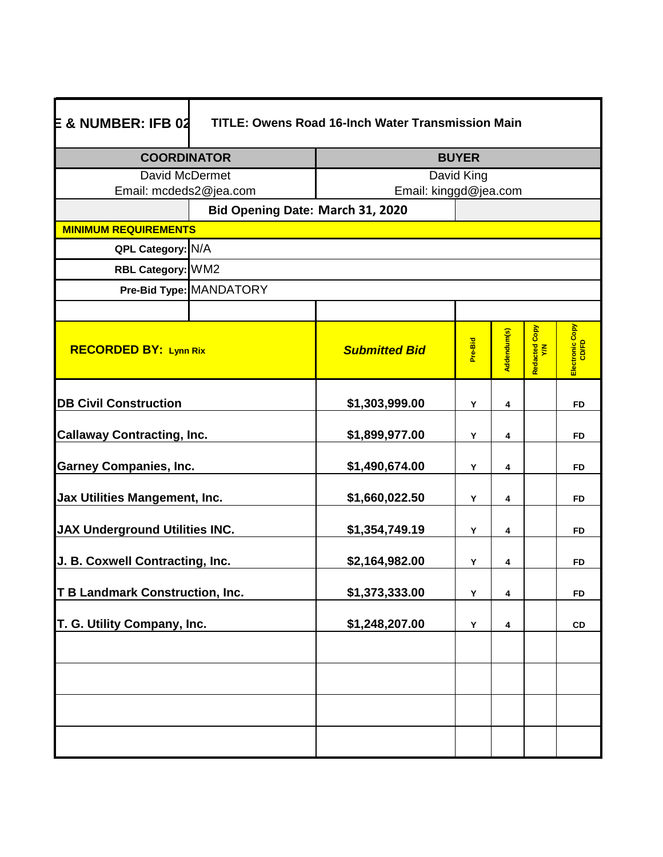| <b>COORDINATOR</b><br><b>David McDermet</b>                                                                |                         | <b>BUYER</b><br>David King       |         |             |                         |                          |
|------------------------------------------------------------------------------------------------------------|-------------------------|----------------------------------|---------|-------------|-------------------------|--------------------------|
|                                                                                                            |                         |                                  |         |             |                         |                          |
|                                                                                                            |                         | Bid Opening Date: March 31, 2020 |         |             |                         |                          |
| <b>MINIMUM REQUIREMENTS</b>                                                                                |                         |                                  |         |             |                         |                          |
| QPL Category: N/A                                                                                          |                         |                                  |         |             |                         |                          |
| RBL Category: WM2                                                                                          |                         |                                  |         |             |                         |                          |
|                                                                                                            | Pre-Bid Type: MANDATORY |                                  |         |             |                         |                          |
|                                                                                                            |                         |                                  |         |             |                         |                          |
| <b>RECORDED BY: Lynn Rix</b>                                                                               |                         | <b>Submitted Bid</b>             | Pre-Bid | Addendum(s) | Copy<br>Redacted<br>Y/N | Electronic Copy<br>CD/FD |
| <b>DB Civil Construction</b>                                                                               |                         | \$1,303,999.00                   | Y       | 4           |                         | <b>FD</b>                |
| <b>Callaway Contracting, Inc.</b><br><b>Garney Companies, Inc.</b><br><b>Jax Utilities Mangement, Inc.</b> |                         | \$1,899,977.00                   | Υ       | 4           |                         | <b>FD</b>                |
|                                                                                                            |                         | \$1,490,674.00                   | Υ       | 4           |                         | <b>FD</b>                |
|                                                                                                            |                         | \$1,660,022.50                   | Y       | 4           |                         | <b>FD</b>                |
| <b>JAX Underground Utilities INC.</b>                                                                      |                         | \$1,354,749.19                   | Y       | 4           |                         | <b>FD</b>                |
| J. B. Coxwell Contracting, Inc.                                                                            |                         | \$2,164,982.00                   | Y       | 4           |                         | <b>FD</b>                |
| <b>T B Landmark Construction, Inc.</b>                                                                     |                         | \$1,373,333.00                   | Y       | 4           |                         | <b>FD</b>                |
| T. G. Utility Company, Inc.                                                                                |                         | \$1,248,207.00                   | Y       | 4           |                         | CD                       |
|                                                                                                            |                         |                                  |         |             |                         |                          |
|                                                                                                            |                         |                                  |         |             |                         |                          |
|                                                                                                            |                         |                                  |         |             |                         |                          |
|                                                                                                            |                         |                                  |         |             |                         |                          |